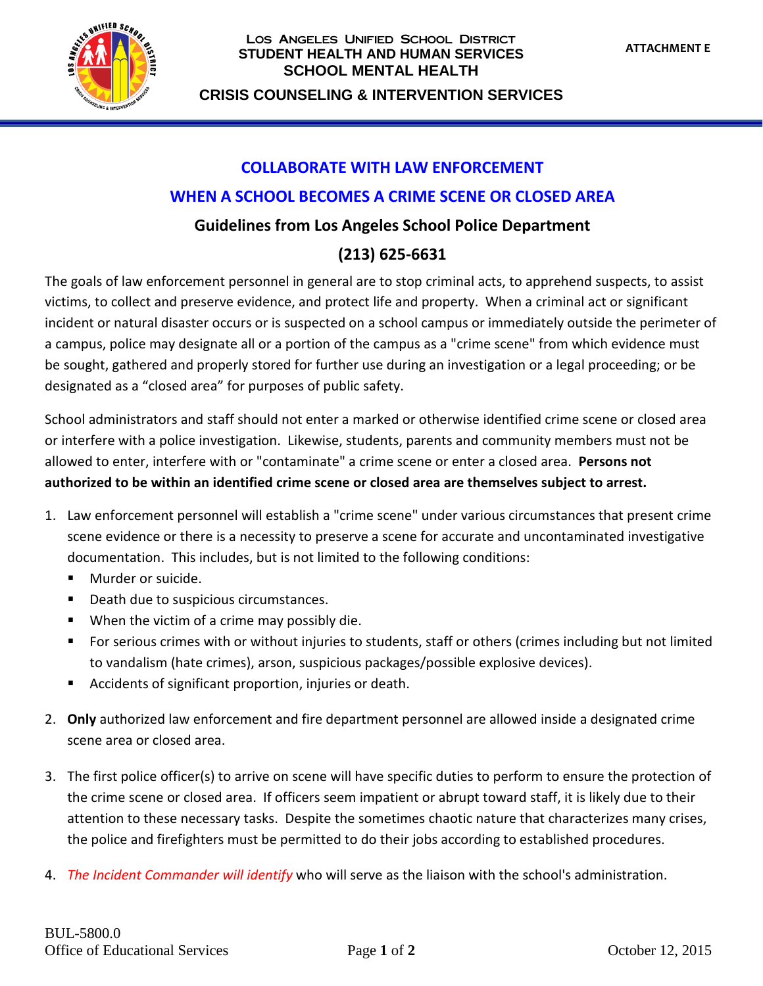

#### Los Angeles Unified School District **STUDENT HEALTH AND HUMAN SERVICES SCHOOL MENTAL HEALTH**

**CRISIS COUNSELING & INTERVENTION SERVICES**

# **COLLABORATE WITH LAW ENFORCEMENT**

#### **WHEN A SCHOOL BECOMES A CRIME SCENE OR CLOSED AREA**

### **Guidelines from Los Angeles School Police Department**

## **(213) 625-6631**

The goals of law enforcement personnel in general are to stop criminal acts, to apprehend suspects, to assist victims, to collect and preserve evidence, and protect life and property. When a criminal act or significant incident or natural disaster occurs or is suspected on a school campus or immediately outside the perimeter of a campus, police may designate all or a portion of the campus as a "crime scene" from which evidence must be sought, gathered and properly stored for further use during an investigation or a legal proceeding; or be designated as a "closed area" for purposes of public safety.

School administrators and staff should not enter a marked or otherwise identified crime scene or closed area or interfere with a police investigation. Likewise, students, parents and community members must not be allowed to enter, interfere with or "contaminate" a crime scene or enter a closed area. **Persons not authorized to be within an identified crime scene or closed area are themselves subject to arrest.**

- 1. Law enforcement personnel will establish a "crime scene" under various circumstances that present crime scene evidence or there is a necessity to preserve a scene for accurate and uncontaminated investigative documentation. This includes, but is not limited to the following conditions:
	- Murder or suicide.
	- Death due to suspicious circumstances.
	- When the victim of a crime may possibly die.
	- For serious crimes with or without injuries to students, staff or others (crimes including but not limited to vandalism (hate crimes), arson, suspicious packages/possible explosive devices).
	- Accidents of significant proportion, injuries or death.
- 2. **Only** authorized law enforcement and fire department personnel are allowed inside a designated crime scene area or closed area.
- 3. The first police officer(s) to arrive on scene will have specific duties to perform to ensure the protection of the crime scene or closed area. If officers seem impatient or abrupt toward staff, it is likely due to their attention to these necessary tasks. Despite the sometimes chaotic nature that characterizes many crises, the police and firefighters must be permitted to do their jobs according to established procedures.
- 4. *The Incident Commander will identify* who will serve as the liaison with the school's administration.